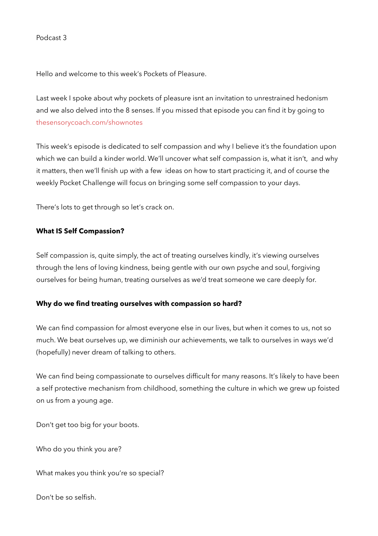Hello and welcome to this week's Pockets of Pleasure.

Last week I spoke about why pockets of pleasure isnt an invitation to unrestrained hedonism and we also delved into the 8 senses. If you missed that episode you can find it by going to [thesensorycoach.com/shownotes](http://thesensorycoach.com/shownotes)

This week's episode is dedicated to self compassion and why I believe it's the foundation upon which we can build a kinder world. We'll uncover what self compassion is, what it isn't, and why it matters, then we'll finish up with a few ideas on how to start practicing it, and of course the weekly Pocket Challenge will focus on bringing some self compassion to your days.

There's lots to get through so let's crack on.

## **What IS Self Compassion?**

Self compassion is, quite simply, the act of treating ourselves kindly, it's viewing ourselves through the lens of loving kindness, being gentle with our own psyche and soul, forgiving ourselves for being human, treating ourselves as we'd treat someone we care deeply for.

### **Why do we find treating ourselves with compassion so hard?**

We can find compassion for almost everyone else in our lives, but when it comes to us, not so much. We beat ourselves up, we diminish our achievements, we talk to ourselves in ways we'd (hopefully) never dream of talking to others.

We can find being compassionate to ourselves difficult for many reasons. It's likely to have been a self protective mechanism from childhood, something the culture in which we grew up foisted on us from a young age.

Don't get too big for your boots.

Who do you think you are?

What makes you think you're so special?

Don't be so selfish.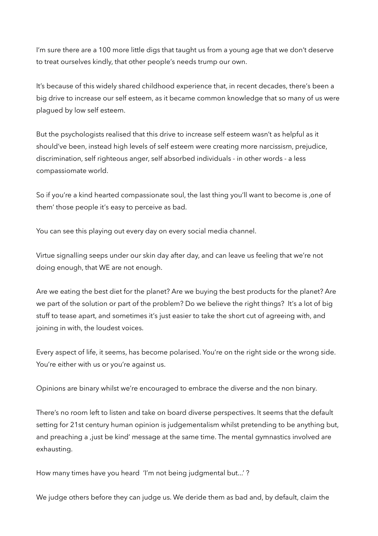I'm sure there are a 100 more little digs that taught us from a young age that we don't deserve to treat ourselves kindly, that other people's needs trump our own.

It's because of this widely shared childhood experience that, in recent decades, there's been a big drive to increase our self esteem, as it became common knowledge that so many of us were plagued by low self esteem.

But the psychologists realised that this drive to increase self esteem wasn't as helpful as it should've been, instead high levels of self esteem were creating more narcissism, prejudice, discrimination, self righteous anger, self absorbed individuals - in other words - a less compassiomate world.

So if you're a kind hearted compassionate soul, the last thing you'll want to become is , one of them' those people it's easy to perceive as bad.

You can see this playing out every day on every social media channel.

Virtue signalling seeps under our skin day after day, and can leave us feeling that we're not doing enough, that WE are not enough.

Are we eating the best diet for the planet? Are we buying the best products for the planet? Are we part of the solution or part of the problem? Do we believe the right things? It's a lot of big stuff to tease apart, and sometimes it's just easier to take the short cut of agreeing with, and joining in with, the loudest voices.

Every aspect of life, it seems, has become polarised. You're on the right side or the wrong side. You're either with us or you're against us.

Opinions are binary whilst we're encouraged to embrace the diverse and the non binary.

There's no room left to listen and take on board diverse perspectives. It seems that the default setting for 21st century human opinion is judgementalism whilst pretending to be anything but, and preaching a , just be kind' message at the same time. The mental gymnastics involved are exhausting.

How many times have you heard 'I'm not being judgmental but...' ?

We judge others before they can judge us. We deride them as bad and, by default, claim the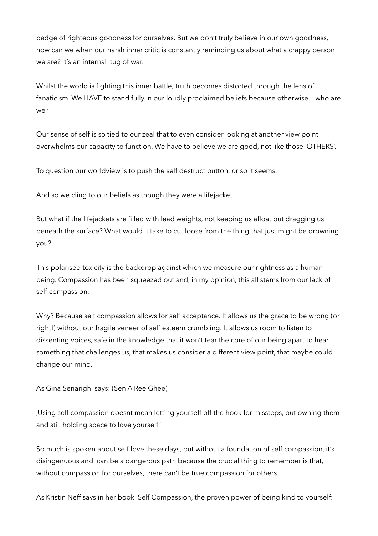badge of righteous goodness for ourselves. But we don't truly believe in our own goodness, how can we when our harsh inner critic is constantly reminding us about what a crappy person we are? It's an internal tug of war.

Whilst the world is fighting this inner battle, truth becomes distorted through the lens of fanaticism. We HAVE to stand fully in our loudly proclaimed beliefs because otherwise... who are we?

Our sense of self is so tied to our zeal that to even consider looking at another view point overwhelms our capacity to function. We have to believe we are good, not like those 'OTHERS'.

To question our worldview is to push the self destruct button, or so it seems.

And so we cling to our beliefs as though they were a lifejacket.

But what if the lifejackets are filled with lead weights, not keeping us afloat but dragging us beneath the surface? What would it take to cut loose from the thing that just might be drowning you?

This polarised toxicity is the backdrop against which we measure our rightness as a human being. Compassion has been squeezed out and, in my opinion, this all stems from our lack of self compassion.

Why? Because self compassion allows for self acceptance. It allows us the grace to be wrong (or right!) without our fragile veneer of self esteem crumbling. It allows us room to listen to dissenting voices, safe in the knowledge that it won't tear the core of our being apart to hear something that challenges us, that makes us consider a different view point, that maybe could change our mind.

As Gina Senarighi says: (Sen A Ree Ghee)

'Using self compassion doesnt mean letting yourself off the hook for missteps, but owning them and still holding space to love yourself.'

So much is spoken about self love these days, but without a foundation of self compassion, it's disingenuous and can be a dangerous path because the crucial thing to remember is that, without compassion for ourselves, there can't be true compassion for others.

As Kristin Neff says in her book Self Compassion, the proven power of being kind to yourself: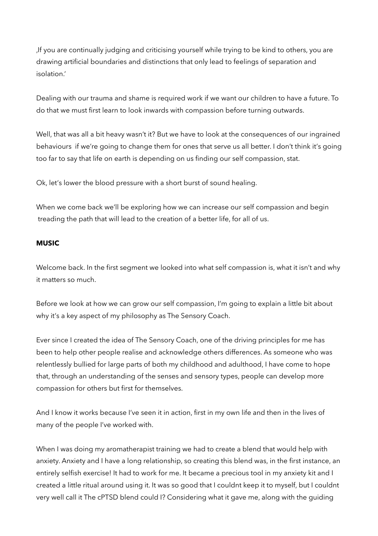'If you are continually judging and criticising yourself while trying to be kind to others, you are drawing artificial boundaries and distinctions that only lead to feelings of separation and isolation.'

Dealing with our trauma and shame is required work if we want our children to have a future. To do that we must first learn to look inwards with compassion before turning outwards.

Well, that was all a bit heavy wasn't it? But we have to look at the consequences of our ingrained behaviours if we're going to change them for ones that serve us all better. I don't think it's going too far to say that life on earth is depending on us finding our self compassion, stat.

Ok, let's lower the blood pressure with a short burst of sound healing.

When we come back we'll be exploring how we can increase our self compassion and begin treading the path that will lead to the creation of a better life, for all of us.

### **MUSIC**

Welcome back. In the first segment we looked into what self compassion is, what it isn't and why it matters so much.

Before we look at how we can grow our self compassion, I'm going to explain a little bit about why it's a key aspect of my philosophy as The Sensory Coach.

Ever since I created the idea of The Sensory Coach, one of the driving principles for me has been to help other people realise and acknowledge others differences. As someone who was relentlessly bullied for large parts of both my childhood and adulthood, I have come to hope that, through an understanding of the senses and sensory types, people can develop more compassion for others but first for themselves.

And I know it works because I've seen it in action, first in my own life and then in the lives of many of the people I've worked with.

When I was doing my aromatherapist training we had to create a blend that would help with anxiety. Anxiety and I have a long relationship, so creating this blend was, in the first instance, an entirely selfish exercise! It had to work for me. It became a precious tool in my anxiety kit and I created a little ritual around using it. It was so good that I couldnt keep it to myself, but I couldnt very well call it The cPTSD blend could I? Considering what it gave me, along with the guiding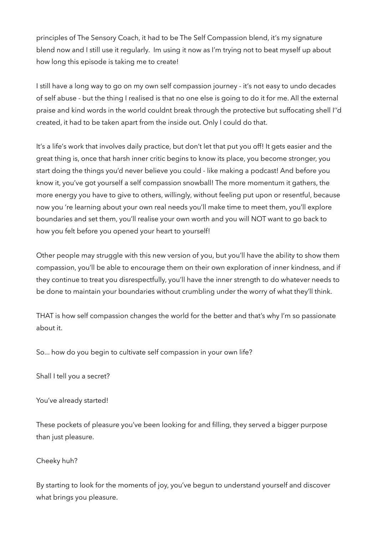principles of The Sensory Coach, it had to be The Self Compassion blend, it's my signature blend now and I still use it regularly. Im using it now as I'm trying not to beat myself up about how long this episode is taking me to create!

I still have a long way to go on my own self compassion journey - it's not easy to undo decades of self abuse - but the thing I realised is that no one else is going to do it for me. All the external praise and kind words in the world couldnt break through the protective but suffocating shell I''d created, it had to be taken apart from the inside out. Only I could do that.

It's a life's work that involves daily practice, but don't let that put you off! It gets easier and the great thing is, once that harsh inner critic begins to know its place, you become stronger, you start doing the things you'd never believe you could - like making a podcast! And before you know it, you've got yourself a self compassion snowball! The more momentum it gathers, the more energy you have to give to others, willingly, without feeling put upon or resentful, because now you 're learning about your own real needs you'll make time to meet them, you'll explore boundaries and set them, you'll realise your own worth and you will NOT want to go back to how you felt before you opened your heart to yourself!

Other people may struggle with this new version of you, but you'll have the ability to show them compassion, you'll be able to encourage them on their own exploration of inner kindness, and if they continue to treat you disrespectfully, you'll have the inner strength to do whatever needs to be done to maintain your boundaries without crumbling under the worry of what they'll think.

THAT is how self compassion changes the world for the better and that's why I'm so passionate about it.

So... how do you begin to cultivate self compassion in your own life?

Shall I tell you a secret?

You've already started!

These pockets of pleasure you've been looking for and filling, they served a bigger purpose than just pleasure.

### Cheeky huh?

By starting to look for the moments of joy, you've begun to understand yourself and discover what brings you pleasure.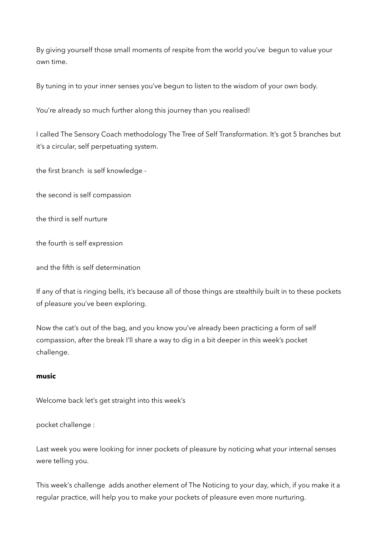By giving yourself those small moments of respite from the world you've begun to value your own time.

By tuning in to your inner senses you've begun to listen to the wisdom of your own body.

You're already so much further along this journey than you realised!

I called The Sensory Coach methodology The Tree of Self Transformation. It's got 5 branches but it's a circular, self perpetuating system.

the first branch is self knowledge -

the second is self compassion

the third is self nurture

the fourth is self expression

and the fifth is self determination

If any of that is ringing bells, it's because all of those things are stealthily built in to these pockets of pleasure you've been exploring.

Now the cat's out of the bag, and you know you've already been practicing a form of self compassion, after the break I'll share a way to dig in a bit deeper in this week's pocket challenge.

# **music**

Welcome back let's get straight into this week's

# pocket challenge :

Last week you were looking for inner pockets of pleasure by noticing what your internal senses were telling you.

This week's challenge adds another element of The Noticing to your day, which, if you make it a regular practice, will help you to make your pockets of pleasure even more nurturing.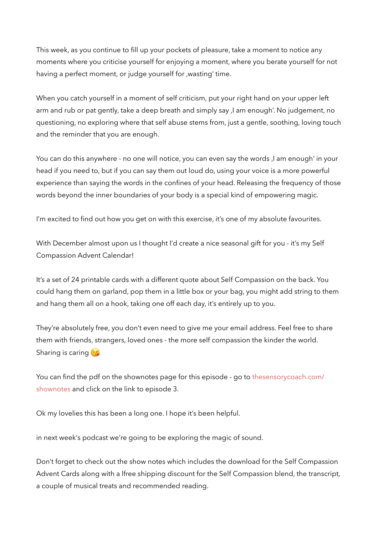This week, as you continue to fill up your pockets of pleasure, take a moment to notice any moments where you criticise yourself for enjoying a moment, where you berate yourself for not having a perfect moment, or judge yourself for , wasting' time.

When you catch yourself in a moment of self criticism, put your right hand on your upper left arm and rub or pat gently, take a deep breath and simply say, I am enough'. No judgement, no questioning, no exploring where that self abuse stems from, just a gentle, soothing, loving touch and the reminder that you are enough.

You can do this anywhere - no one will notice, you can even say the words, I am enough' in your head if you need to, but if you can say them out loud do, using your voice is a more powerful experience than saying the words in the confines of your head. Releasing the frequency of those words beyond the inner boundaries of your body is a special kind of empowering magic.

I'm excited to find out how you get on with this exercise, it's one of my absolute favourites.

With December almost upon us I thought I'd create a nice seasonal gift for you - it's my Self Compassion Advent Calendar!

It's a set of 24 printable cards with a different quote about Self Compassion on the back. You could hang them on garland, pop them in a little box or your bag, you might add string to them and hang them all on a hook, taking one off each day, it's entirely up to you.

They're absolutely free, you don't even need to give me your email address. Feel free to share them with friends, strangers, loved ones - the more self compassion the kinder the world. Sharing is caring  $\left(\frac{1}{3}\right)$ 

You can find the pdf on the shownotes page for this episode - go to [thesensorycoach.com/](http://thesensorycoach.com/shownotes) [shownotes](http://thesensorycoach.com/shownotes) and click on the link to episode 3.

Ok my lovelies this has been a long one. I hope it's been helpful.

in next week's podcast we're going to be exploring the magic of sound.

Don't forget to check out the show notes which includes the download for the Self Compassion Advent Cards along with a lfree shipping discount for the Self Compassion blend, the transcript, a couple of musical treats and recommended reading.